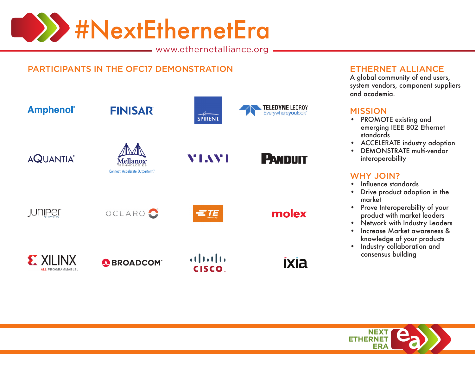

www.ethernetalliance.org

## PARTICIPANTS IN THE OFC17 DEMONSTRATION ETHERNET ALLIANCE



A global community of end users, system vendors, component suppliers and academia.

#### **MISSION**

- PROMOTE existing and emerging IEEE 802 Ethernet standards
- ACCELERATE industry adoption
- DEMONSTRATE multi-vendor interoperability

### WHY JOIN?

- • Influence standards
- • Drive product adoption in the market
- • Prove Interoperability of your product with market leaders
- $\bullet$ Network with Industry Leaders
- • Increase Market awareness & knowledge of your products
- Industry collaboration and consensus building